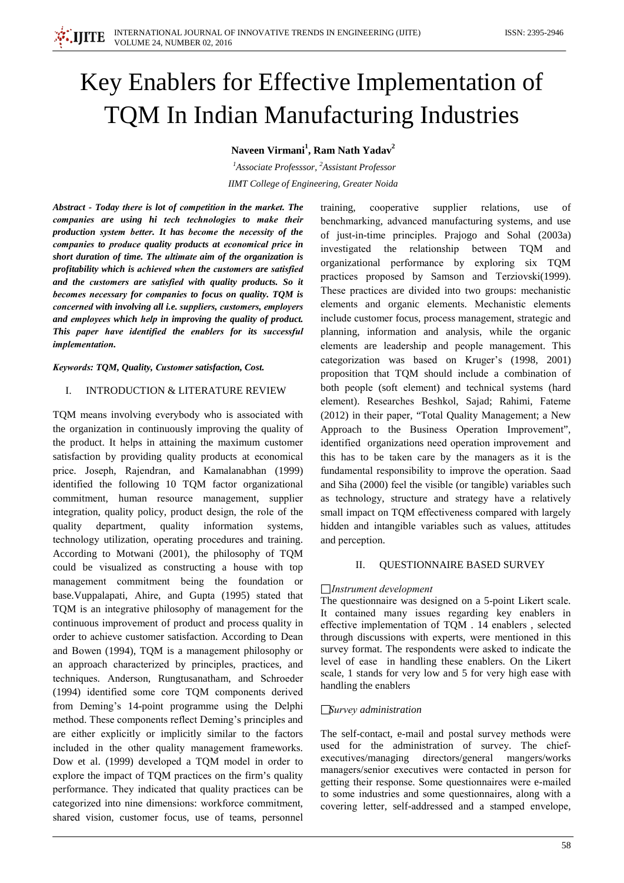# Key Enablers for Effective Implementation of **TQM In Indian Manufacturing Industries**

## Naveen Virmani<sup>1</sup>, Ram Nath Yadav<sup>2</sup>

<sup>1</sup>Associate Professsor, <sup>2</sup>Assistant Professor **IIMT** College of Engineering, Greater Noida

Abstract - Today there is lot of competition in the market. The companies are using hi tech technologies to make their production system better. It has become the necessity of the companies to produce quality products at economical price in short duration of time. The ultimate aim of the organization is profitability which is achieved when the customers are satisfied and the customers are satisfied with quality products. So it becomes necessary for companies to focus on quality. TOM is concerned with involving all i.e. suppliers, customers, employers and employees which help in improving the quality of product. This paper have identified the enablers for its successful *implementation.* 

Keywords: TQM, Quality, Customer satisfaction, Cost.

## $\mathbf{L}$ **INTRODUCTION & LITERATURE REVIEW**

TOM means involving everybody who is associated with the organization in continuously improving the quality of the product. It helps in attaining the maximum customer satisfaction by providing quality products at economical price. Joseph, Rajendran, and Kamalanabhan (1999) identified the following 10 TQM factor organizational commitment, human resource management, supplier integration, quality policy, product design, the role of the quality department, quality information systems, technology utilization, operating procedures and training. According to Motwani (2001), the philosophy of TQM could be visualized as constructing a house with top management commitment being the foundation or base. Vuppalapati, Ahire, and Gupta (1995) stated that TQM is an integrative philosophy of management for the continuous improvement of product and process quality in order to achieve customer satisfaction. According to Dean and Bowen (1994), TQM is a management philosophy or an approach characterized by principles, practices, and techniques. Anderson, Rungtusanatham, and Schroeder (1994) identified some core TQM components derived from Deming's 14-point programme using the Delphi method. These components reflect Deming's principles and are either explicitly or implicitly similar to the factors included in the other quality management frameworks. Dow et al. (1999) developed a TQM model in order to explore the impact of TQM practices on the firm's quality performance. They indicated that quality practices can be categorized into nine dimensions: workforce commitment, shared vision, customer focus, use of teams, personnel

training, cooperative supplier relations. use  $\alpha$ f benchmarking, advanced manufacturing systems, and use of just-in-time principles. Prajogo and Sohal (2003a) investigated the relationship between TOM and organizational performance by exploring six TQM practices proposed by Samson and Terziovski(1999). These practices are divided into two groups: mechanistic elements and organic elements. Mechanistic elements include customer focus, process management, strategic and planning, information and analysis, while the organic elements are leadership and people management. This categorization was based on Kruger's (1998, 2001) proposition that TQM should include a combination of both people (soft element) and technical systems (hard element). Researches Beshkol, Sajad; Rahimi, Fateme (2012) in their paper, "Total Quality Management; a New Approach to the Business Operation Improvement", identified organizations need operation improvement and this has to be taken care by the managers as it is the fundamental responsibility to improve the operation. Saad and Siha (2000) feel the visible (or tangible) variables such as technology, structure and strategy have a relatively small impact on TOM effectiveness compared with largely hidden and intangible variables such as values, attitudes and perception.

#### H. QUESTIONNAIRE BASED SURVEY

## $\Box$ Instrument development

The questionnaire was designed on a 5-point Likert scale. It contained many issues regarding key enablers in effective implementation of TQM . 14 enablers, selected through discussions with experts, were mentioned in this survey format. The respondents were asked to indicate the level of ease in handling these enablers. On the Likert scale, 1 stands for very low and 5 for very high ease with handling the enablers

## $\Box$ Survey administration

The self-contact, e-mail and postal survey methods were used for the administration of survey. The chiefexecutives/managing directors/general mangers/works managers/senior executives were contacted in person for getting their response. Some questionnaires were e-mailed to some industries and some questionnaires, along with a covering letter, self-addressed and a stamped envelope,